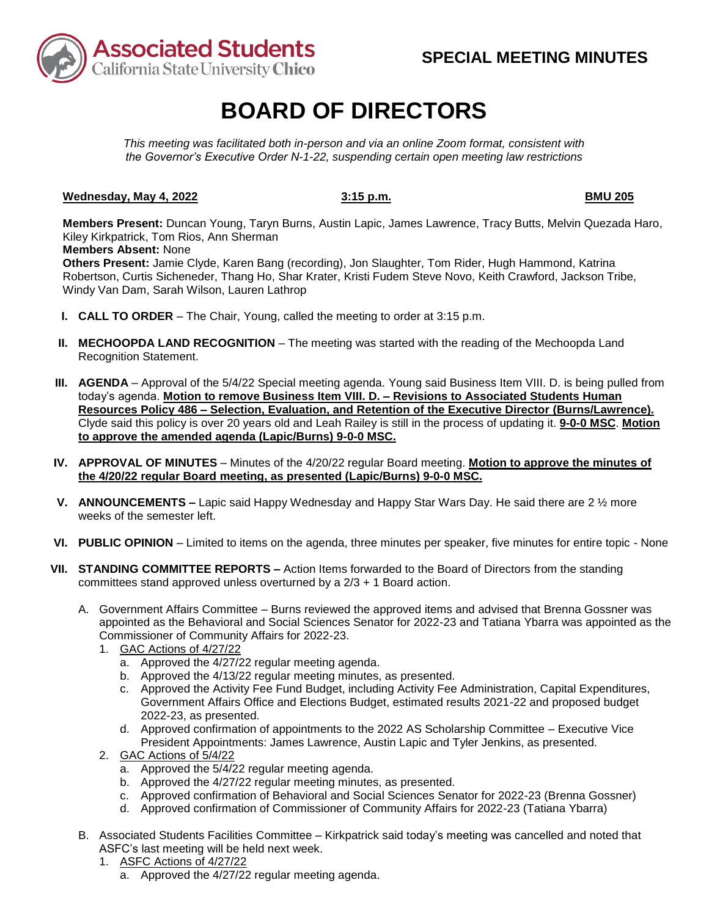

# **BOARD OF DIRECTORS**

*This meeting was facilitated both in-person and via an online Zoom format, consistent with the Governor's Executive Order N-1-22, suspending certain open meeting law restrictions* 

## **Wednesday, May 4, 2022** 3:15 p.m. 3:15 p.m.

**Members Present:** Duncan Young, Taryn Burns, Austin Lapic, James Lawrence, Tracy Butts, Melvin Quezada Haro, Kiley Kirkpatrick, Tom Rios, Ann Sherman

### **Members Absent:** None

 Robertson, Curtis Sicheneder, Thang Ho, Shar Krater, Kristi Fudem Steve Novo, Keith Crawford, Jackson Tribe, **Others Present:** Jamie Clyde, Karen Bang (recording), Jon Slaughter, Tom Rider, Hugh Hammond, Katrina Windy Van Dam, Sarah Wilson, Lauren Lathrop

- **I. CALL TO ORDER**  The Chair, Young, called the meeting to order at 3:15 p.m.
- **II. MECHOOPDA LAND RECOGNITION** The meeting was started with the reading of the Mechoopda Land Recognition Statement.
- today's agenda. **Motion to remove Business Item VIII. D. – Revisions to Associated Students Human III. AGENDA** – Approval of the 5/4/22 Special meeting agenda. Young said Business Item VIII. D. is being pulled from **Resources Policy 486 – Selection, Evaluation, and Retention of the Executive Director (Burns/Lawrence).**  Clyde said this policy is over 20 years old and Leah Railey is still in the process of updating it. **9-0-0 MSC**. **Motion to approve the amended agenda (Lapic/Burns) 9-0-0 MSC.**
- **IV. APPROVAL OF MINUTES**  Minutes of the 4/20/22 regular Board meeting. **Motion to approve the minutes of the 4/20/22 regular Board meeting, as presented (Lapic/Burns) 9-0-0 MSC.**
- **V. ANNOUNCEMENTS –** Lapic said Happy Wednesday and Happy Star Wars Day. He said there are 2 ½ more weeks of the semester left.
- **VI. PUBLIC OPINION**  Limited to items on the agenda, three minutes per speaker, five minutes for entire topic None
- **VII. STANDING COMMITTEE REPORTS –** Action Items forwarded to the Board of Directors from the standing committees stand approved unless overturned by a 2/3 + 1 Board action.
	- A. Government Affairs Committee Burns reviewed the approved items and advised that Brenna Gossner was Commissioner of Community Affairs for 2022-23. appointed as the Behavioral and Social Sciences Senator for 2022-23 and Tatiana Ybarra was appointed as the
		- 1. GAC Actions of 4/27/22
			- a. Approved the 4/27/22 regular meeting agenda.
			- b. Approved the 4/13/22 regular meeting minutes, as presented.
			- Government Affairs Office and Elections Budget, estimated results 2021-22 and proposed budget c. Approved the Activity Fee Fund Budget, including Activity Fee Administration, Capital Expenditures, 2022-23, as presented.
			- d. Approved confirmation of appointments to the 2022 AS Scholarship Committee Executive Vice President Appointments: James Lawrence, Austin Lapic and Tyler Jenkins, as presented.
		- 2. GAC Actions of 5/4/22
			- a. Approved the 5/4/22 regular meeting agenda.
			- b. Approved the 4/27/22 regular meeting minutes, as presented.
			- c. Approved confirmation of Behavioral and Social Sciences Senator for 2022-23 (Brenna Gossner)
			- d. Approved confirmation of Commissioner of Community Affairs for 2022-23 (Tatiana Ybarra)
	- ASFC's last meeting will be held next week. B. Associated Students Facilities Committee – Kirkpatrick said today's meeting was cancelled and noted that
		- 1. ASFC Actions of 4/27/22
			- a. Approved the 4/27/22 regular meeting agenda.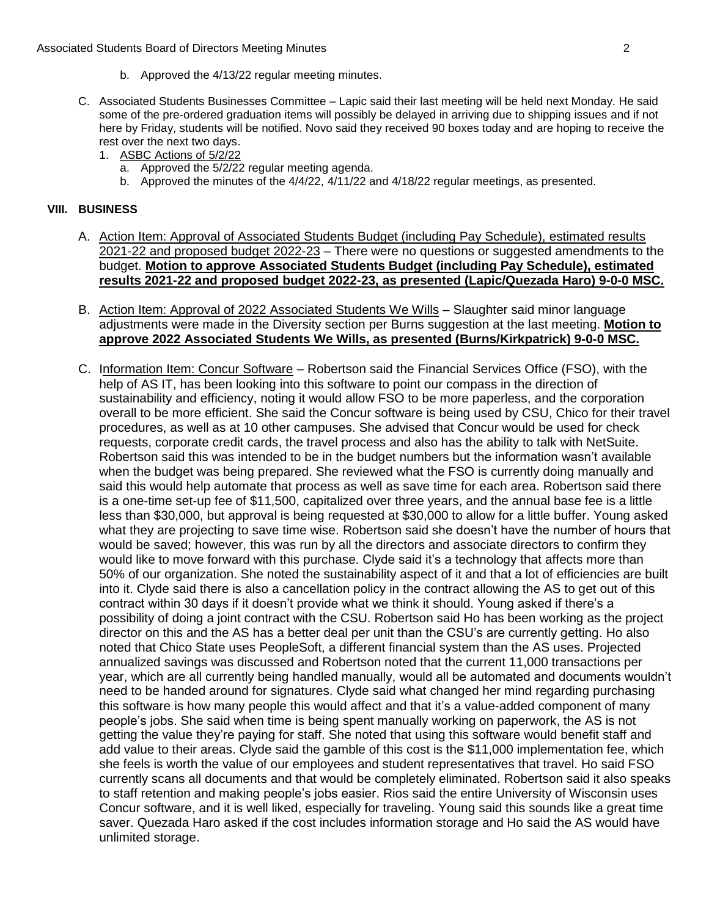- b. Approved the 4/13/22 regular meeting minutes.
- rest over the next two days. C. Associated Students Businesses Committee – Lapic said their last meeting will be held next Monday. He said some of the pre-ordered graduation items will possibly be delayed in arriving due to shipping issues and if not here by Friday, students will be notified. Novo said they received 90 boxes today and are hoping to receive the
	- 1. ASBC Actions of 5/2/22
		- a. Approved the  $5/2/22$  regular meeting agenda.
		- b. Approved the minutes of the 4/4/22, 4/11/22 and 4/18/22 regular meetings, as presented.

### **VIII. BUSINESS**

- A. Action Item: Approval of Associated Students Budget (including Pay Schedule), estimated results 2021-22 and proposed budget 2022-23 - There were no questions or suggested amendments to the  budget. **Motion to approve Associated Students Budget (including Pay Schedule), estimated results 2021-22 and proposed budget 2022-23, as presented (Lapic/Quezada Haro) 9-0-0 MSC.**
- B. Action Item: Approval of 2022 Associated Students We Wills Slaughter said minor language adjustments were made in the Diversity section per Burns suggestion at the last meeting. **Motion to approve 2022 Associated Students We Wills, as presented (Burns/Kirkpatrick) 9-0-0 MSC.**
- C. Information Item: Concur Software Robertson said the Financial Services Office (FSO), with the help of AS IT, has been looking into this software to point our compass in the direction of sustainability and efficiency, noting it would allow FSO to be more paperless, and the corporation overall to be more efficient. She said the Concur software is being used by CSU, Chico for their travel procedures, as well as at 10 other campuses. She advised that Concur would be used for check requests, corporate credit cards, the travel process and also has the ability to talk with NetSuite. Robertson said this was intended to be in the budget numbers but the information wasn't available when the budget was being prepared. She reviewed what the FSO is currently doing manually and said this would help automate that process as well as save time for each area. Robertson said there is a one-time set-up fee of \$11,500, capitalized over three years, and the annual base fee is a little less than \$30,000, but approval is being requested at \$30,000 to allow for a little buffer. Young asked what they are projecting to save time wise. Robertson said she doesn't have the number of hours that would be saved; however, this was run by all the directors and associate directors to confirm they would like to move forward with this purchase. Clyde said it's a technology that affects more than 50% of our organization. She noted the sustainability aspect of it and that a lot of efficiencies are built into it. Clyde said there is also a cancellation policy in the contract allowing the AS to get out of this contract within 30 days if it doesn't provide what we think it should. Young asked if there's a possibility of doing a joint contract with the CSU. Robertson said Ho has been working as the project director on this and the AS has a better deal per unit than the CSU's are currently getting. Ho also noted that Chico State uses PeopleSoft, a different financial system than the AS uses. Projected annualized savings was discussed and Robertson noted that the current 11,000 transactions per year, which are all currently being handled manually, would all be automated and documents wouldn't need to be handed around for signatures. Clyde said what changed her mind regarding purchasing this software is how many people this would affect and that it's a value-added component of many people's jobs. She said when time is being spent manually working on paperwork, the AS is not getting the value they're paying for staff. She noted that using this software would benefit staff and add value to their areas. Clyde said the gamble of this cost is the \$11,000 implementation fee, which she feels is worth the value of our employees and student representatives that travel. Ho said FSO currently scans all documents and that would be completely eliminated. Robertson said it also speaks to staff retention and making people's jobs easier. Rios said the entire University of Wisconsin uses Concur software, and it is well liked, especially for traveling. Young said this sounds like a great time saver. Quezada Haro asked if the cost includes information storage and Ho said the AS would have unlimited storage.